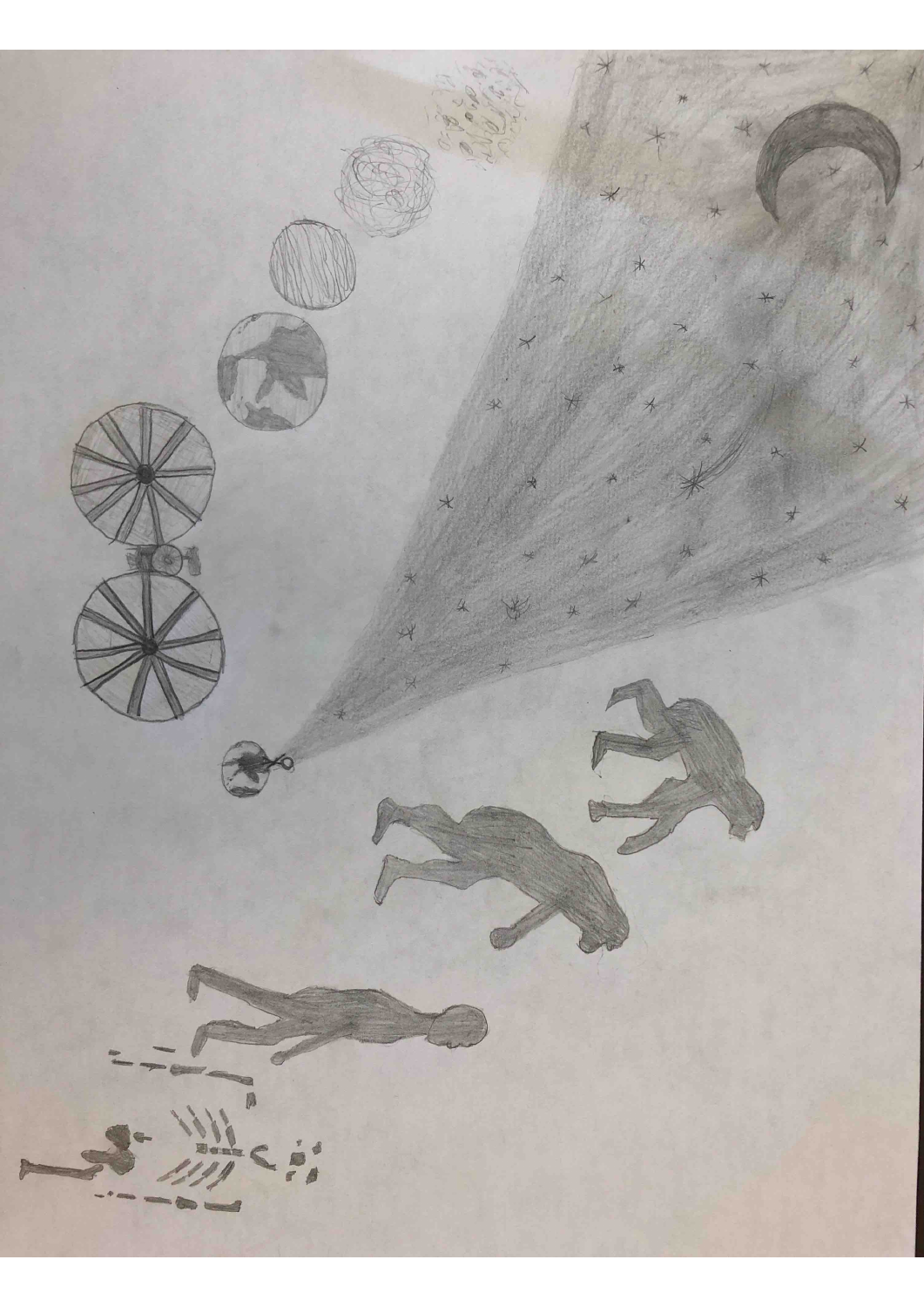